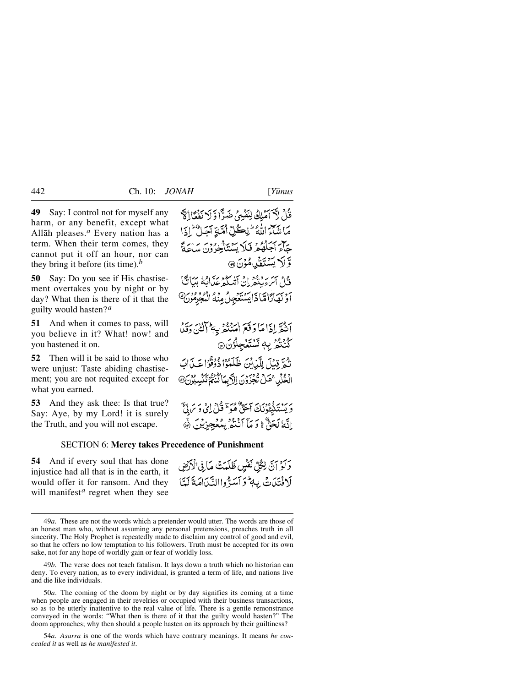**49** Say: I control not for myself any harm, or any benefit, except what Allåh pleases.*<sup>a</sup>* Every nation has a term. When their term comes, they cannot put it off an hour, nor can they bring it before (its time).*<sup>b</sup>*

**50** Say: Do you see if His chastisement overtakes you by night or by day? What then is there of it that the guilty would hasten?*<sup>a</sup>*

**51** And when it comes to pass, will you believe in it? What! now! and you hastened it on.

**52** Then will it be said to those who were unjust: Taste abiding chastisement; you are not requited except for what you earned.

**53** And they ask thee: Is that true? Say: Aye, by my Lord! it is surely the Truth, and you will not escape.

قُلْ لَهُ ٓ ٱمۡلِكَ لِنَفۡبِهِۦٓ ضَدًّا وَّ لَا نَفۡعًآ لَمَّ مَا شَبْلَهُ اللَّهُ ۖ لِكُلِّ أُمَّةٍ آجَلٌ ۚ إِذَا جآءَ أَجَلُّهُمْ فَيَلَا يَشْنَأْخِرُوْنَ سَاعَةً وَّ لَا يَسْتَفْدِهُوْنَ ۞ فَيْلَ أَسْءَ مِعْمَرِ إِنَّ أَمَّدَيْكُمْ عَلَىٰالُهُ مَيَاتِكَا

اديمارًامَّاذَايَسْتَعْجِلُ مِنْهُ الْمُجْرِمُونَ @

أَنْثَمَّرْ إِذَاهَا دَقَعَ اٰ مَنْتُفَرِيبا ۖ أَلْئِنَّ دَقَدْا *ڴ*ڹ۠ؿ۠ۯۑ؋ؾٙؽؾۼٙڿڷۯ؈

نِيُّمَّ قِيْلَ بِلَّيْنِ نَنَّ ظَلَّمَوْا ذُوْقُوْا عَيْدَابَ الْخُلْدِ عَصَلْ تُجْزِوْنَ الْأَبِيَا كُنْتُمْ تَكْسِبُوْنَ@

ر رويه دون سر سر ده رستون .<br>د يستنبځونگ اخق هو سفن اي و پر پيځ إِنَّهُا لَحَقٌّ ﴾ وَ مَأَ أَنْنَفُرُ بِيمُعۡجِزِيْنَ ۞

وَلَوْ إِنَّ لِتُكُلِّ نَفْسٍ ظَلَمْتُ مَا فِي الْأَرْضِ لَافْتَدَنْ بِهِ وَأَسَرُّواالنَّبَدَامَةَ لَمَّا

### SECTION 6: **Mercy takes Precedence of Punishment**

**54** And if every soul that has done injustice had all that is in the earth, it would offer it for ransom. And they will manifest<sup>*a*</sup> regret when they see

49*b*. The verse does not teach fatalism. It lays down a truth which no historian can deny. To every nation, as to every individual, is granted a term of life, and nations live and die like individuals.

50*a*. The coming of the doom by night or by day signifies its coming at a time when people are engaged in their revelries or occupied with their business transactions, so as to be utterly inattentive to the real value of life. There is a gentle remonstrance conveyed in the words: "What then is there of it that the guilty would hasten?" The doom approaches; why then should a people hasten on its approach by their guiltiness?

54*a*. *Asarra* is one of the words which have contrary meanings. It means *he concealed it* as well as *he manifested it*.

<sup>49</sup>*a*. These are not the words which a pretender would utter. The words are those of an honest man who, without assuming any personal pretensions, preaches truth in all sincerity. The Holy Prophet is repeatedly made to disclaim any control of good and evil, so that he offers no low temptation to his followers. Truth must be accepted for its own sake, not for any hope of worldly gain or fear of worldly loss.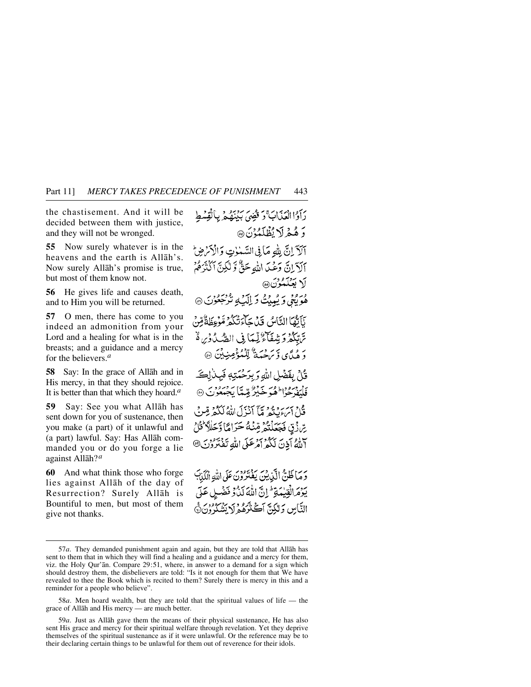the chastisement. And it will be decided between them with justice, and they will not be wronged.

**55** Now surely whatever is in the heavens and the earth is Allåh's. Now surely Allåh's promise is true, but most of them know not.

**56** He gives life and causes death, and to Him you will be returned.

**57** O men, there has come to you indeed an admonition from your Lord and a healing for what is in the breasts; and a guidance and a mercy for the believers.*<sup>a</sup>*

**58** Say: In the grace of Allåh and in His mercy, in that they should rejoice. It is better than that which they hoard.*<sup>a</sup>*

**59** Say: See you what Allåh has sent down for you of sustenance, then you make (a part) of it unlawful and (a part) lawful. Say: Has Allåh commanded you or do you forge a lie against Allåh?*<sup>a</sup>*

**60** And what think those who forge lies against Allåh of the day of Resurrection? Surely Allåh is Bountiful to men, but most of them give not thanks.

رَادُاالعَدْابَ وَ قَضِيَ بَدْنِهُ فِي بِالْقِسُط دَ هُيمْ لَا يُظْلَمُوْنَ ۞ آلآ إنَّ لِللهِ مَا فِي السَّنوتِ وَالْآمَٰ ضِ آلآ إنَّ وَعْبَدَ اللَّهِ حَقٌّ وَّ لَكِنَّ أَكْنَزَهُمْ أ\ **بَعْبَكِيْدُ**نِ هِ آ هُوَيْعَى وَ يُعِيدُ مَّ إِلَيْكَ بِمُرْجَعُوْنَ ۞ نَأَتْفَا التَّامِكِي قَدْمِ حَآءَ نَبْكُهُ قَوْعِظَةٌ مِّنْ سَّاتِكُمْ وَ بِنْىغَآعُ لِّيمَا فِي الصَّيدُ ذِي هُ رَ وْهُدَّى وَسَنْحْبَةٌ لِّكْمُؤْمِنِيْنَ ۞ قُلْ بِفَضْلِ اللهِ وَبِرَحْمَتِهِ فَبِلْالِكَ فَلْيَفْدَهُوْاطُعُهَ خَبْيُرٌ مِيِّسًا يَجْهَعُوْنَ ۞ فَيْلَ أَيْرَءَ مِنْ قَبْلَ أَنْنَزَلَ اللَّهُ لَكُثُرَ مِّنْ ِيِّنِ ذِنِ فَجَعَلْتُمْ قِنْهُ حَرَاهًا وَجَلَلاً قُلْ لِيَ اللَّهُ أَذِنَ لَكُمْ أَمْرِ عَلَى اللَّهِ تَفْتَرَوْنَ@ وَمَا ظَنُّ الَّذِينَ يَفْتَرُوْنَ عَلَى اللَّهِ أَلَكَنَّ

يَوْمَرَالْفِيْهَةِ ۖ إِنَّ اللَّهَ لَذُوۡ فَضۡلِ عَلَى النَّاسِ وَلَٰكِنَّ أَكْثَرُهُمْ لَا يَشْكُرُونَ۞

<sup>57</sup>*a*. They demanded punishment again and again, but they are told that Allåh has sent to them that in which they will find a healing and a guidance and a mercy for them, viz. the Holy Qur'ån. Compare 29:51, where, in answer to a demand for a sign which should destroy them, the disbelievers are told: "Is it not enough for them that We have revealed to thee the Book which is recited to them? Surely there is mercy in this and a reminder for a people who believe".

<sup>58</sup>*a*. Men hoard wealth, but they are told that the spiritual values of life — the grace of Allåh and His mercy — are much better.

<sup>59</sup>*a*. Just as Allåh gave them the means of their physical sustenance, He has also sent His grace and mercy for their spiritual welfare through revelation. Yet they deprive themselves of the spiritual sustenance as if it were unlawful. Or the reference may be to their declaring certain things to be unlawful for them out of reverence for their idols.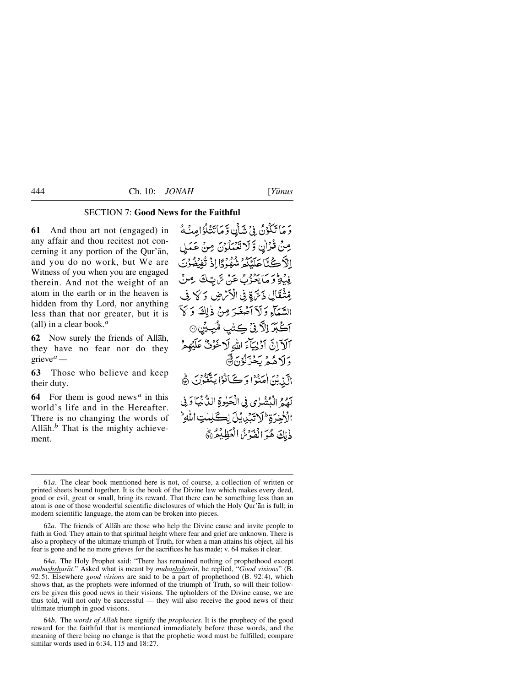# SECTION 7: **Good News for the Faithful**

**61** And thou art not (engaged) in any affair and thou recitest not concerning it any portion of the Qur'ån, and you do no work, but We are Witness of you when you are engaged therein. And not the weight of an atom in the earth or in the heaven is hidden from thy Lord, nor anything less than that nor greater, but it is (all) in a clear book.*<sup>a</sup>*

**62** Now surely the friends of Allåh, they have no fear nor do they grieve*a —*

**63** Those who believe and keep their duty.

**64** For them is good news*<sup>a</sup>* in this world's life and in the Hereafter. There is no changing the words of Allåh.*<sup>b</sup>* That is the mighty achievement.

وَ مَا تَكْوُنُ فِي شَأْنِ وَ مَاتَنْتِكُوْامِنْهُ ۚ مِنْ قُرْآنِ وَلَا تَعْبَلُوْنَ مِنْ عَمَل الْأَكْتَاعَلَيْكُمْ شُهُّرْدًا إِذْ تُفِيضُوْنَ فِينَةً وَ مَا يَعْزُمْ عَنْ تِي تَاتِ هُ مِنْ يِّنْتَقَالِ ذَيْرَةٍ فِي الْأَرْرِضِ وَكَلَ فِي السَّعَاءِ وَلَآ ٱصۡعَبَہِ مِنۡ ذٰلِكَ وَكَنَّ آكْبَرَ الْآرِنْ كِتْبِ مُّبِيِّنِ۞ آلآ إنّ آوْلِيَاءَ اللّهِ لَا خَوْنٌ عَلَيْهِمْ دَ لَا هُهُ مَهْ حَذَنَوْنَ ثَبَيْ الَّذِيْنَ امَنُوْا وَكَانُوْا يَتَقَوْنَ ﴾ لَّهُمُّ الْبُشْرٰى فِي الْحَيْوَةِ الدُّنْيَا وَفِي الأخيرة الاقتدائي لك لمن الله ذٰلِكَ هُوَ الْفَوْسُ الْعَظِيْفِرِيُّ

64*a*. The Holy Prophet said: "There has remained nothing of prophethood except *mubashsharåt*." Asked what is meant by *mubashsharåt*, he replied, "*Good visions*" (B. 92:5). Elsewhere *good visions* are said to be a part of prophethood (B. 92:4), which shows that, as the prophets were informed of the triumph of Truth, so will their followers be given this good news in their visions. The upholders of the Divine cause, we are thus told, will not only be successful — they will also receive the good news of their ultimate triumph in good visions.

<sup>61</sup>*a*. The clear book mentioned here is not, of course, a collection of written or printed sheets bound together. It is the book of the Divine law which makes every deed, good or evil, great or small, bring its reward. That there can be something less than an atom is one of those wonderful scientific disclosures of which the Holy Qur'ån is full; in modern scientific language, the atom can be broken into pieces.

<sup>62</sup>*a*. The friends of Allåh are those who help the Divine cause and invite people to faith in God. They attain to that spiritual height where fear and grief are unknown. There is also a prophecy of the ultimate triumph of Truth, for when a man attains his object, all his fear is gone and he no more grieves for the sacrifices he has made; v. 64 makes it clear.

<sup>64</sup>*b*. The *words of Allåh* here signify the *prophecies*. It is the prophecy of the good reward for the faithful that is mentioned immediately before these words, and the meaning of there being no change is that the prophetic word must be fulfilled; compare similar words used in 6:34, 115 and 18:27.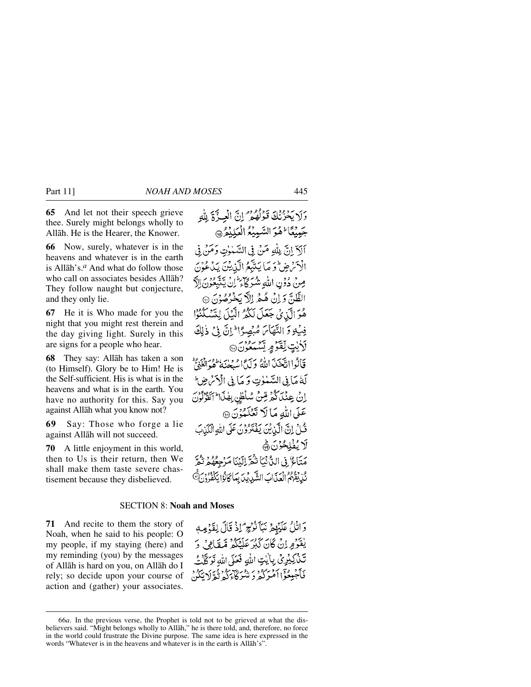**65** And let not their speech grieve thee. Surely might belongs wholly to Allåh. He is the Hearer, the Knower.

**66** Now, surely, whatever is in the heavens and whatever is in the earth is Allåh's.*<sup>a</sup>* And what do follow those who call on associates besides Allåh? They follow naught but conjecture, and they only lie.

**67** He it is Who made for you the night that you might rest therein and the day giving light. Surely in this are signs for a people who hear.

**68** They say: Allåh has taken a son (to Himself). Glory be to Him! He is the Self-sufficient. His is what is in the heavens and what is in the earth. You have no authority for this. Say you against Allåh what you know not?

**69** Say: Those who forge a lie against Allåh will not succeed.

**70** A little enjoyment in this world, then to Us is their return, then We shall make them taste severe chastisement because they disbelieved.

آلَآ إِنَّ لِلَّهِ مَنْ فِي السَّلْوٰتِ وَمَنْ فِي الْآسْرْضِ وَ مَا يَنتَبَعُ الَّذِينَ يَدْعُوْنَ صِنْ دُوۡنِ اللَّهِ شُرَكَّاءَ ۗ ۚ إِنۡ يَتَّبِعُوۡنَ إِلاَّ الظَّنَّ وَإِنْ هُمْهِ إِلاَّ بَخْرُصُوْنَ ۞ هُوَ الَّذِي جَعَلَ لَكُمُ الَّيْلَ لِتَسْكُنُوْا فِيكِ وَ النَّهَاسَ مُبْصِرًا ۖ إِنَّ فِي ذٰلِكَ لأيت لفؤو يشتغون قَالُوااتْتَخَذَ اللَّهُ وَلَدًا مُعِينٍ وَإِسْ الْمُدَيْنَ وَالْغَيْقِيِّ لَّهُ مَا فِي السَّعْوٰتِ وَ مَا فِي الْأَمَّ ضِ ۖ اِنْ عِنْدَاكُمْ رِّنْ سُلْطِنٍ بِهٰذَا َ اتَّقَرْلُونَ عَلَى اللَّهِ مَا لَا تَعْلَمْهُوْنَ ۞ قُبْلُ إِنَّ الَّذِينَ يَفْتَرُونَ عَلَى اللَّهِ الْكَذِبَ لَا يُفْلِحُوْنَ ﴾ مَتَاعٌ فِي الدُّنْيَا نَدُّرٌ إِلَيْنَا مَرْحِعُهُ نْ بِقَدْمَ الْعِيدَابَ الشَّيْدِيِّيدَ بِيَا كَانْوَا يَكْفُرُوْنَ

## SECTION 8: **Noah and Moses**

**71** And recite to them the story of Noah, when he said to his people: O my people, if my staying (here) and my reminding (you) by the messages of Allåh is hard on you, on Allåh do I rely; so decide upon your course of action and (gather) your associates.

وَاتْلُ عَلَيْهِمْ نَبَأَنُوْجِ ۗ إِذْ قَالَ لِقَوْمِهِ يْقَوْمِرِيْنْ ݣَانَ كَبْرُ عَلَيْكُمْ مَّقَاهِيْ دَ تَذْكِيْرِيْ بِالِيْتِ اللَّهِ فَعَلَى اللَّهِ تَوَكَّلْتُ فَأَجْمِعُوْٓا أَمْرَكُمْ دِ نَفْرِكَاّءَكُمْ تُقَرِّلَا يَكُنُّ

<sup>66</sup>*a*. In the previous verse, the Prophet is told not to be grieved at what the disbelievers said. "Might belongs wholly to Allåh," he is there told, and, therefore, no force in the world could frustrate the Divine purpose. The same idea is here expressed in the words "Whatever is in the heavens and whatever is in the earth is Allåh's".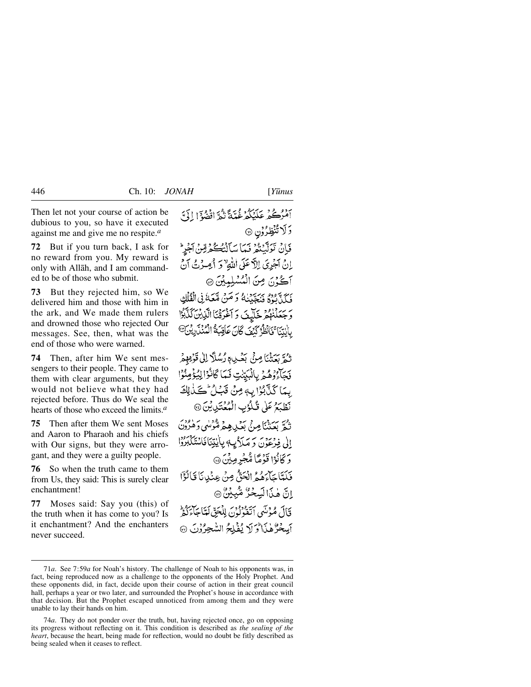Then let not your course of action be dubious to you, so have it executed against me and give me no respite.*<sup>a</sup>*

**72** But if you turn back, I ask for no reward from you. My reward is only with Allåh, and I am commanded to be of those who submit.

**73** But they rejected him, so We delivered him and those with him in the ark, and We made them rulers and drowned those who rejected Our messages. See, then, what was the end of those who were warned.

**74** Then, after him We sent messengers to their people. They came to them with clear arguments, but they would not believe what they had rejected before. Thus do We seal the hearts of those who exceed the limits.*<sup>a</sup>*

**75** Then after them We sent Moses and Aaron to Pharaoh and his chiefs with Our signs, but they were arrogant, and they were a guilty people.

**76** So when the truth came to them from Us, they said: This is surely clear enchantment!

**77** Moses said: Say you (this) of the truth when it has come to you? Is it enchantment? And the enchanters never succeed.

يَهُوْدُ عَلَيْكُمْرْغَيْبَةً نُهُمَّ اقْفُدَةَ ( إِيَّ ۇَلَائْنْظِرُوْن ۞ فَإِنْ تَوَلَّىٰنُهُمْ فَيَمَا سَأَلْتُ مُحْرِقِينَ آَجَرِ إِنْ آخِرِيَ إِلاَّ عَلَى اللَّهِ ۚ وَ أَصِرُتُ أَنْ آكُوْنَ مِنَ الْمُسْلِبِيْنَ @ وَيَكُوْنَ وَدَيْهَ مِنْ مَعْ مَنْ مَّعَهُ فِي الْفُلْكَ ر بردام و كليف و الخرقنا الّذين كذَّبوْا رِبايْتِنَا كَأَنْظُرُ كَيْفَ كَانَ عَاقِبَةُ الْمُنْذَرِيْنَ @

تْمُمَّ بَعَثْنَا صِنْ بَعْلِ، رُسُلًا إلى قَرْمِهِمُ فَجَاءُوْهُمْ بِالْبَيِّنْتِ فَيَمَا كَانُوْالِيُؤْمِنُوْا بِمَا كَذَّبُوْا بِهِ مِنْ قَبَلُ كَلَّالِكَ نَظَبَعُ عَلَى قُلُوُبِ الْمُعْتَدِينَ @ نَهُمْ يَحَنُّنَا مِنْ بَعَيْدِهِمْ مُّؤْلِيهِ، وَهٰزُوْنَ إِلَى فِرْعَوْنَ وَ مَلَأَيِّهِ بِالْيِتِنَافَاسْتَكْبَرُوْا وَكَأَنُوْا قَوْمًا مُّجْرِمِينَ۞ فَلَعَّا حَآءَهُمُ الْحَقُّ مِنْ عِنْدِينَا قَالُوْٓا انَّ هٰذَاللِّيجُرُّ مُّبِيِنٌ ۞ قَالَ مُؤْتَبِي ٱتَقْوَلُونَ لِلْحَقِّ لَمَّا حَاءَكُمْ

اَسِحْرُٰ هٰذَا أَرَلَا يُفْلِحُ السَّجِرُوْنَ ۞

<sup>71</sup>*a*. See 7:59*a* for Noah's history. The challenge of Noah to his opponents was, in fact, being reproduced now as a challenge to the opponents of the Holy Prophet. And these opponents did, in fact, decide upon their course of action in their great council hall, perhaps a year or two later, and surrounded the Prophet's house in accordance with that decision. But the Prophet escaped unnoticed from among them and they were unable to lay their hands on him.

<sup>74</sup>*a*. They do not ponder over the truth, but, having rejected once, go on opposing its progress without reflecting on it. This condition is described as *the sealing of the heart*, because the heart, being made for reflection, would no doubt be fitly described as being sealed when it ceases to reflect.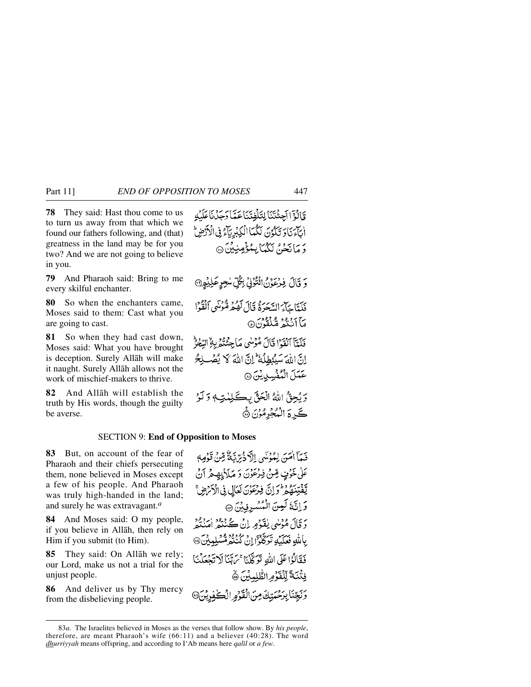**78** They said: Hast thou come to us to turn us away from that which we found our fathers following, and (that) greatness in the land may be for you two? And we are not going to believe in you.

**79** And Pharaoh said: Bring to me every skilful enchanter.

**80** So when the enchanters came, Moses said to them: Cast what you are going to cast.

**81** So when they had cast down, Moses said: What you have brought is deception. Surely Allåh will make it naught. Surely Allåh allows not the work of mischief-makers to thrive.

**82** And Allåh will establish the truth by His words, though the guilty be averse.

## SECTION 9: **End of Opposition to Moses**

**83** But, on account of the fear of Pharaoh and their chiefs persecuting them, none believed in Moses except a few of his people. And Pharaoh was truly high-handed in the land; and surely he was extravagant.*<sup>a</sup>*

**84** And Moses said: O my people, if you believe in Allåh, then rely on Him if you submit (to Him).

**85** They said: On Allåh we rely; our Lord, make us not a trial for the unjust people.

**86** And deliver us by Thy mercy from the disbelieving people.

وَ قَالَ فِرْعَوْنُ ائْتُوْنِي بِكُلِّ سْجِرِ عَلِيْوِنَ

فَلَلَّاحَاكَ السَّعَدَةُ قَالَ لَهُمْ مُّؤْنَبِي ٱلْقُوْا عَآآنَنْهُ مُّلْقُونَ@

فَلَمَّآ ٱلْقَوْا قَالَ مُؤْسٰى مَاجِئْتُمْرِبِةٌ السِّخْرُ إِنَّ اللَّهَ سَبْعُطِلُهُ ۚ إِنَّ اللَّهَ لَا يُصْبِلِهُمْ عَمَلَ الْمُفْسِدِينَ @

وَيُحِقُّ اللهُ الْحَقَّ بِكَلِمْتِ وَلَوْ ڪَ 5 الْمُجْرِمُونَ ۞

فَيِدَآ أُمَنَ لِمُؤْتَمِي الْآدُيْرِّيَّةُ قِبْنُ قَوْمِهِ عَلَىٰ خَوْفٍ مِّنْ فِرْعَوْنَ وَ مَلَاْبِهِمْ آنُ يَّفْتِنِهُمْ وَلِنَّ فِرْعَوْنَ لَعَالِ فِي الْأَرْضِيَّ وَ إِنَّهُ لَعِنَ الْمُسْرِفِينَ @ دَ قَالَ مُؤْسُى بِلْقَوْمِرِ إِنْ كُنْتُهُمْ أَهَنَّنُهُمْ وَ ِبِاللَّهِ فَعَلَيۡهِ تَرَكَّلُوۡٓٓآاِنۡ كُنۡنُوۡهُمۡتُبِلِيَٰنَ۞ فَقَالُوْا عَلَى اللَّهِ تَوَكَّلْنَا ۚ مَ تَبْنَا لَا تَحْعَلُنَا فِنْنَةً لِّلْقَوْمِ الطَّلِّبِيِّنَ ﴾ رِ<br>وَنَجِّنَا بِرَحْمَتِكَ مِنَ الْقَرْمِ الْكَفِرِيْنَ@

وَّالْوَٓاآجِئۡنَنَالِتَلۡفِتَنَاعَمَّا دَحَلۡنَاعَلَٰهِ أنآءَ نَادَ تَكْوُنَ لَكُمَا الْكِبُرِيَآءُ فِي الْأَدْضِ رُ مَانَحْنُ لَكُمَّا بِمُؤْمِنِينَ ۞

<sup>83</sup>*a*. The Israelites believed in Moses as the verses that follow show. By *his people*, therefore, are meant Pharaoh's wife (66:11) and a believer (40:28). The word *dhurriyyah* means offspring, and according to I'Ab means here *qalßl* or *a few*.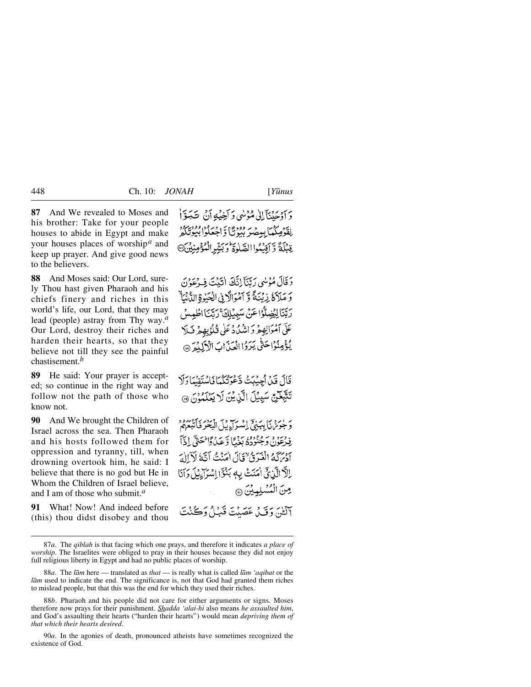**87** And We revealed to Moses and his brother: Take for your people houses to abide in Egypt and make your houses places of worship*<sup>a</sup>* and keep up prayer. And give good news to the believers.

**88** And Moses said: Our Lord, surely Thou hast given Pharaoh and his chiefs finery and riches in this world's life, our Lord, that they may lead (people) astray from Thy way.*<sup>a</sup>* Our Lord, destroy their riches and harden their hearts, so that they believe not till they see the painful chastisement.*<sup>b</sup>*

**89** He said: Your prayer is accepted; so continue in the right way and follow not the path of those who know not.

**90** And We brought the Children of Israel across the sea. Then Pharaoh and his hosts followed them for oppression and tyranny, till, when drowning overtook him, he said: I believe that there is no god but He in Whom the Children of Israel believe, and I am of those who submit.*<sup>a</sup>*

**91** What! Now! And indeed before (this) thou didst disobey and thou

دَ أَدْ حَدْيَآ إِلَىٰ مُّوْسُوِي دَ أَخِيبُهِ أَنْ يَ تَسَبَوۡ أَ لِقَوْمِكُمَا بِبِيْصُرَ بُبُوْتًا وَّاجْعَلُوْا بِيُوتَكُمْ ِقِيْلَةً وَّ أَقْسُمُوا الصَّلُوةَ وَ بَشْرِ الْمُؤْمِنِينَ۞

دَ قَالَ مُؤْسُى رَبِّيَّآ إِنَّكَ اٰتَيْتَ فِيهُ عَوْنَ دَ مَلَاَةُ زِنْنَةً وَّ آمْوَالَّا فِي الْحَيْوَةِ الدُّّنْمَانِي رِيبِ إِيْضِلُّوُا عَنْ سَبِيْلِكَ رَبَّيَا اطْهِد عَلَى آمُوَالِهِعْرُ وَ انشَكَادُ عَلَى قُلُوْبِهِمْ فَبِلَا يُؤْمِنُوْاحَتّْي يَرَدُّاالْعَدْ إِنَّ الْأَدَلِيْهَ ۞

قَالَ قَلْ أَجِيَّبَتْ دَّعْزَتْكُمَا فَاسْتَقِيْنَا وَلَا تَتَّبِعُنِّ سَبِيْلَ الَّذِيْنَ لَا يَعْلَمُوْنَ ۞

و (مردي) بِبَيْنِجَ إِسْبَرَآءِ بِبِيَ ابْبَحْرَ فَأَتَبَعَهُمْ فه ديمة وروم عن ديمًا وّ عَبْدُوًا الْمَتَيَّ إِذْ أَ آديهُمْ الْغَيَرَةُ حِيَّالَ إِمْنُتُ آتَكَ لِآلالَهَ اللَّا الَّذِيِّ اٰمَنَتْ بِهِ بَنُوَّا إِسْرَاءِنِيِّ دَانَا مِنَ الْمُسْلِمِينَ @

ب الطن وُقَبِيْ عَصَيْتَ قَبَيْلُ وَكُنْتَ

<sup>87</sup>*a*. The *qiblah* is that facing which one prays, and therefore it indicates *a place of worship*. The Israelites were obliged to pray in their houses because they did not enjoy full religious liberty in Egypt and had no public places of worship.

<sup>88</sup>*a*. The *låm* here — translated as *that* — is really what is called *låm 'aqibat* or the *låm* used to indicate the end. The significance is, not that God had granted them riches to mislead people, but that this was the end for which they used their riches.

<sup>88</sup>*b*. Pharaoh and his people did not care for either arguments or signs. Moses therefore now prays for their punishment. *Shadda 'alai-hi* also means *he assaulted him*, and God's assaulting their hearts ("harden their hearts") would mean *depriving them of that which their hearts desired*.

<sup>90</sup>*a*. In the agonies of death, pronounced atheists have sometimes recognized the existence of God.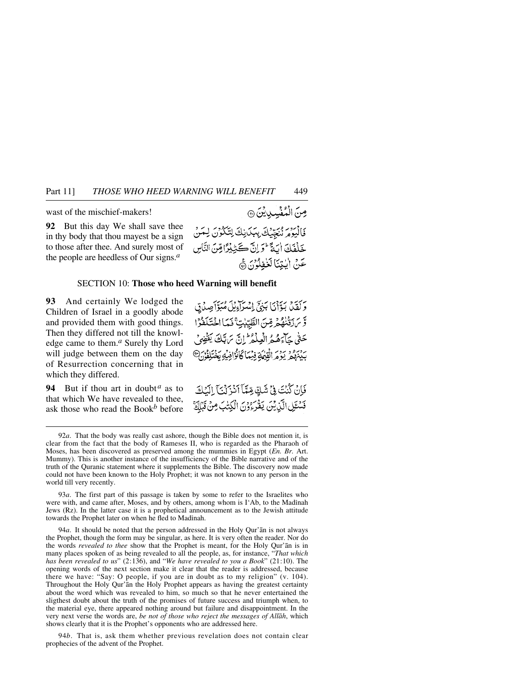wast of the mischief-makers!

**92** But this day We shall save thee in thy body that thou mayest be a sign to those after thee. And surely most of the people are heedless of Our signs.*<sup>a</sup>*

صِنَ الْمُفْسِدِينَ @ فَالْيَوْمَ نُبَجِّيْكَ بِبَكَرْنِكَ لِتَكْوُنَ لِمَنْ خَلْفَكَ أَيَةً لَوَ إِنَّ كَثِيْرًا قِنَ النَّاسِ عَنْ البِّيْنَالْغَطْلُونَ ۞

#### SECTION 10: **Those who heed Warning will benefit**

**93** And certainly We lodged the Children of Israel in a goodly abode and provided them with good things. Then they differed not till the knowledge came to them.*<sup>a</sup>* Surely thy Lord will judge between them on the day of Resurrection concerning that in which they differed.

**94** But if thou art in doubt<sup>*a*</sup> as to that which We have revealed to thee, ask those who read the Book*<sup>b</sup>* before

وَلَقَدْ بَوَّأَنَا بَنِيٍّ إِسْرَاءِيْلَ مُبَوَّآَصِدُقِ وَّسَ رَدَّارُ مِّ مِّنَ الطَّيِّبِٰتِ ۚ فَمَا اخْتَلَفُوْا حَتَّى جَآءَهُمُ الْعِلْمُ ۚ إِنَّ سَ بَّكَ يَفْضِيْ ر بِهِ وَرَ الْقِيْهَةِ فِيُمَاكَانُوْ افِيَّهِ يَخْتَلِفُوْنَ ﴾

فَإِنْ كُنْتَ فِي شَكٍّ مِّيَّاً أَنْزَلْنَا إِلَيْكَ فَسْتَلِ الَّذِيْنَ يَفْرَءُوْنَ الْكِتْبَ مِنْ قَبْلِكَ

93*a*. The first part of this passage is taken by some to refer to the Israelites who were with, and came after, Moses, and by others, among whom is I'Ab, to the Madinah Jews (Rz). In the latter case it is a prophetical announcement as to the Jewish attitude towards the Prophet later on when he fled to Madinah.

94*a*. It should be noted that the person addressed in the Holy Qur'ån is not always the Prophet, though the form may be singular, as here. It is very often the reader. Nor do the words *revealed to thee* show that the Prophet is meant, for the Holy Qur'ån is in many places spoken of as being revealed to all the people, as, for instance, "*That which has been revealed to us*" (2:136), and "*We have revealed to you a Book*" (21:10). The opening words of the next section make it clear that the reader is addressed, because there we have: "Say: O people, if you are in doubt as to my religion" (v. 104). Throughout the Holy Qur'ån the Holy Prophet appears as having the greatest certainty about the word which was revealed to him, so much so that he never entertained the sligthest doubt about the truth of the promises of future success and triumph when, to the material eye, there appeared nothing around but failure and disappointment. In the very next verse the words are, *be not of those who reject the messages of Allåh*, which shows clearly that it is the Prophet's opponents who are addressed here.

94*b*. That is, ask them whether previous revelation does not contain clear prophecies of the advent of the Prophet.

<sup>92</sup>*a*. That the body was really cast ashore, though the Bible does not mention it, is clear from the fact that the body of Rameses II, who is regarded as the Pharaoh of Moses, has been discovered as preserved among the mummies in Egypt (*En. Br.* Art. Mummy). This is another instance of the insufficiency of the Bible narrative and of the truth of the Quranic statement where it supplements the Bible. The discovery now made could not have been known to the Holy Prophet; it was not known to any person in the world till very recently.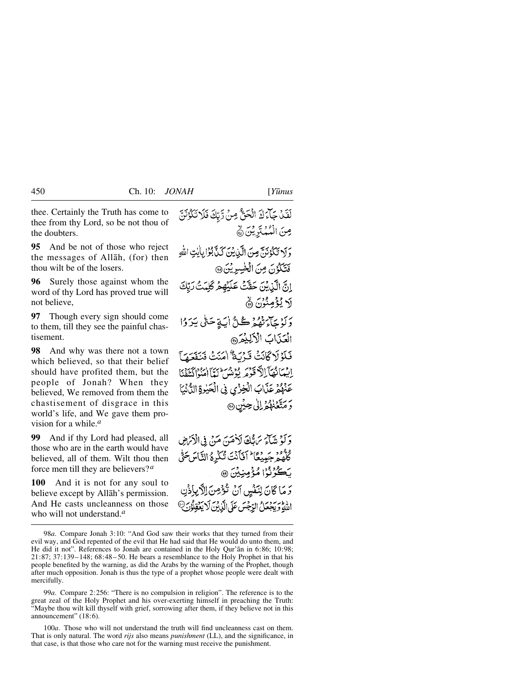thee. Certainly the Truth has come to thee from thy Lord, so be not thou of the doubters.

**95** And be not of those who reject the messages of Allåh, (for) then thou wilt be of the losers.

**96** Surely those against whom the word of thy Lord has proved true will not believe,

**97** Though every sign should come to them, till they see the painful chastisement.

**98** And why was there not a town which believed, so that their belief should have profited them, but the people of Jonah? When they believed, We removed from them the chastisement of disgrace in this world's life, and We gave them provision for a while.*<sup>a</sup>*

**99** And if thy Lord had pleased, all those who are in the earth would have believed, all of them. Wilt thou then force men till they are believers?*<sup>a</sup>*

**100** And it is not for any soul to believe except by Allåh's permission. And He casts uncleanness on those who will not understand.*<sup>a</sup>*

لَفَلْ جَآءَكَ الْحَقَّ مِنْ رَّبِّكَ فَلَا تَكْوُنَنَّ مِنَ الْمُهْبَدَيْنَ ۞ وَلا تَكْوُنَ مِن الْكَايِنِيّ كَيْ بُوْا بِالْتِ اللَّهِ قَتَّكُوْنَ مِنَ الْخُسِرِيْنَ @ ارِّ الَّذِيْنَ حَقَّتْ عَلَيْهِمْ كَلِّدَتْ رَبِّكَ لَا يُؤْمِنُوْنَ ۞ دَ كَنْ حَبَّرْ زُوْرٌ ڪُلُّ أَبَ تِهَ حَتَّى يَدَ دُا الْعَذَابَ الْأَلِيْدَهِ فَكَوْلَا كَانَتْ فَيَرْبَدُّ أَمَنَتْ فَيَنْعِيْهِمْ آ إِيْمَانِهَمَآ إِلَٰٓ قَوْمَ بِوَنْيُوسٍ لَيْبًآ أَمَنُوا كَيَهِمْ يَا عَنْهُمْ عَنَّابَ الْخِزْيِ فِي الْحَيْوةِ الدُّنْيَا دَ مَتَّعۡنٰوْمُ اِلَى حِيْنِ ۞

وَكَوْ شَكَّائِرَ سَاتِّكَ لَأَحَدَ، مَنْ فِي الْأَسْرَضِ كُلُّهُمْ جَمِيْعًا ۖ أَفَأَنْتَ تُكْرِهُ النَّاسَ حَتَّى بَكَرْنُوْا مُؤْمِنِيْنَ ۞ رَ مَا كَانَ لِنَفْسٍ آنْ تُؤْمِنَ اِلْأَرْبِأِذْنِ اللَّهِ وَيَجْعَلُ الرِّجْسَ عَلَى الَّذِينَ لَا يَعْقِلُوْنَ

99*a*. Compare 2:256: "There is no compulsion in religion". The reference is to the great zeal of the Holy Prophet and his over-exerting himself in preaching the Truth: "Maybe thou wilt kill thyself with grief, sorrowing after them, if they believe not in this announcement" (18:6).

100*a*. Those who will not understand the truth will find uncleanness cast on them. That is only natural. The word *rijs* also means *punishment* (LL), and the significance, in that case, is that those who care not for the warning must receive the punishment.

<sup>98</sup>*a*. Compare Jonah 3:10: "And God saw their works that they turned from their evil way, and God repented of the evil that He had said that He would do unto them, and He did it not". References to Jonah are contained in the Holy Qur'ån in 6:86; 10:98; 21:87; 37:139–148; 68:48– 50. He bears a resemblance to the Holy Prophet in that his people benefited by the warning, as did the Arabs by the warning of the Prophet, though after much opposition. Jonah is thus the type of a prophet whose people were dealt with mercifully.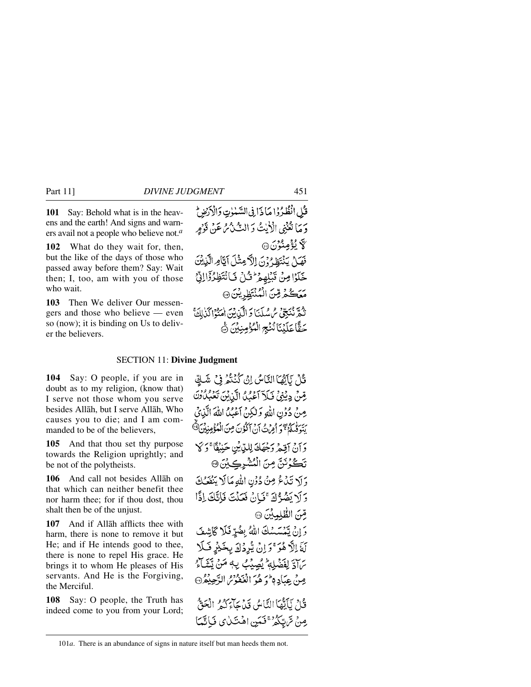**101** Say: Behold what is in the heavens and the earth! And signs and warners avail not a people who believe not.*<sup>a</sup>*

**102** What do they wait for, then, but the like of the days of those who passed away before them? Say: Wait then; I, too, am with you of those who wait.

**103** Then We deliver Our messengers and those who believe — even so (now); it is binding on Us to deliver the believers.

# SECTION 11: **Divine Judgment**

**104** Say: O people, if you are in doubt as to my religion, (know that) I serve not those whom you serve besides Allåh, but I serve Allåh, Who causes you to die; and I am commanded to be of the believers,

**105** And that thou set thy purpose towards the Religion uprightly; and be not of the polytheists.

**106** And call not besides Allåh on that which can neither benefit thee nor harm thee; for if thou dost, thou shalt then be of the unjust.

**107** And if Allåh afflicts thee with harm, there is none to remove it but He; and if He intends good to thee, there is none to repel His grace. He brings it to whom He pleases of His servants. And He is the Forgiving, the Merciful.

**108** Say: O people, the Truth has indeed come to you from your Lord;

وْلِ لَآَيْهَا النَّاسُ إِنْ كُنْتُمْ فِي شَكِّ رِّسٌ دِيْنِي فَلَآ أَعْيُلُ الَّذِيْنَ تَعۡبُلُونَ مِنْ دُوِّنِ اللَّهِ وَلٰكِنْ أَعْبُلُ اللَّهَ الَّذِيْ وَأَنَّ أَقِيمُ وَجْهَكَ لِلَّذِيْنِ حَنِبْفًا ۚ وَكَلَّ تَكُوُنَنَّ مِنَ الْمُشْرِكِيْنَ۞ وَلَا تَدْعُ مِنْ دُوْنِ اللَّهِ مَالَا يَنْفَعُكَ وَلَا يَضُرُّكَ ۚ فَيَانُ فَعَلْتَ فَإِنَّكَ إِذًا مِّنَ الطَّلمِينَ ۞ وَإِنْ يَّمْسَسْكَ اللهُ بِضُرِّ فَلَا كَاشِفَ لَّهَ اِلَّا هُوَ ۚ وَ إِنْ يُّرِدُكَ بِخَيْرٍ فَلَا رب لِفَضْلِهِ يُصِيْبُ بِهِ مَنْ يَشَاءُ صِنْ عِبَادِ وَثُمَّوْ الْعَفْوَمُ الرَّحِيْمُرُ فَكِنْ يَأْلِيْهَاْ النَّامِكَ قَدْمِيًّا وَكُنَّهُ ۚ الْحَقُّ عِنْ تَرَبِّكُمْ ۚ فَعَيَنِ اهْتَدْنِي فَبَاتَّمَا

101*a*. There is an abundance of signs in nature itself but man heeds them not.